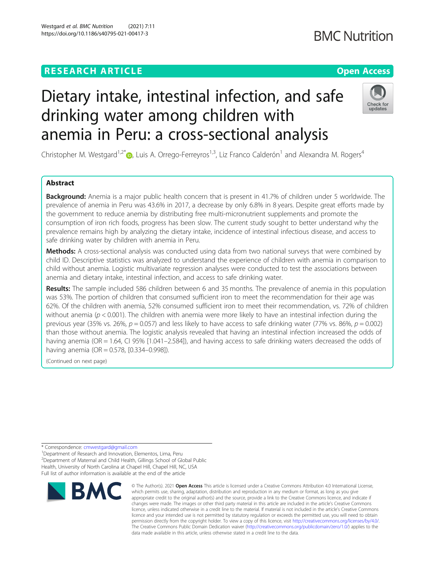## **RESEARCH ARTICLE Example 2014 12:30 The Contract of Contract ACCESS**

# Dietary intake, intestinal infection, and safe drinking water among children with anemia in Peru: a cross-sectional analysis

Christopher M. Westgard<sup>1,2\*</sup> $\bullet$ , Luis A. Orrego-Ferreyros<sup>1,3</sup>, Liz Franco Calderón<sup>1</sup> and Alexandra M. Rogers<sup>4</sup>

## Abstract

Background: Anemia is a major public health concern that is present in 41.7% of children under 5 worldwide. The prevalence of anemia in Peru was 43.6% in 2017, a decrease by only 6.8% in 8 years. Despite great efforts made by the government to reduce anemia by distributing free multi-micronutrient supplements and promote the consumption of iron rich foods, progress has been slow. The current study sought to better understand why the prevalence remains high by analyzing the dietary intake, incidence of intestinal infectious disease, and access to safe drinking water by children with anemia in Peru.

Methods: A cross-sectional analysis was conducted using data from two national surveys that were combined by child ID. Descriptive statistics was analyzed to understand the experience of children with anemia in comparison to child without anemia. Logistic multivariate regression analyses were conducted to test the associations between anemia and dietary intake, intestinal infection, and access to safe drinking water.

Results: The sample included 586 children between 6 and 35 months. The prevalence of anemia in this population was 53%. The portion of children that consumed sufficient iron to meet the recommendation for their age was 62%. Of the children with anemia, 52% consumed sufficient iron to meet their recommendation, vs. 72% of children without anemia ( $p < 0.001$ ). The children with anemia were more likely to have an intestinal infection during the previous year (35% vs. 26%,  $p = 0.057$ ) and less likely to have access to safe drinking water (77% vs. 86%,  $p = 0.002$ ) than those without anemia. The logistic analysis revealed that having an intestinal infection increased the odds of having anemia (OR = 1.64, CI 95% [1.041–2.584]), and having access to safe drinking waters decreased the odds of having anemia (OR = 0.578, [0.334–0.998]).

(Continued on next page)

\* Correspondence: [cmwestgard@gmail.com](mailto:cmwestgard@gmail.com) <sup>1</sup>

<sup>1</sup>Department of Research and Innovation, Elementos, Lima, Peru <sup>2</sup> Department of Maternal and Child Health, Gillings School of Global Public Health, University of North Carolina at Chapel Hill, Chapel Hill, NC, USA Full list of author information is available at the end of the article



<sup>©</sup> The Author(s), 2021 **Open Access** This article is licensed under a Creative Commons Attribution 4.0 International License, which permits use, sharing, adaptation, distribution and reproduction in any medium or format, as long as you give appropriate credit to the original author(s) and the source, provide a link to the Creative Commons licence, and indicate if changes were made. The images or other third party material in this article are included in the article's Creative Commons licence, unless indicated otherwise in a credit line to the material. If material is not included in the article's Creative Commons licence and your intended use is not permitted by statutory regulation or exceeds the permitted use, you will need to obtain permission directly from the copyright holder. To view a copy of this licence, visit [http://creativecommons.org/licenses/by/4.0/.](http://creativecommons.org/licenses/by/4.0/) The Creative Commons Public Domain Dedication waiver [\(http://creativecommons.org/publicdomain/zero/1.0/](http://creativecommons.org/publicdomain/zero/1.0/)) applies to the data made available in this article, unless otherwise stated in a credit line to the data.

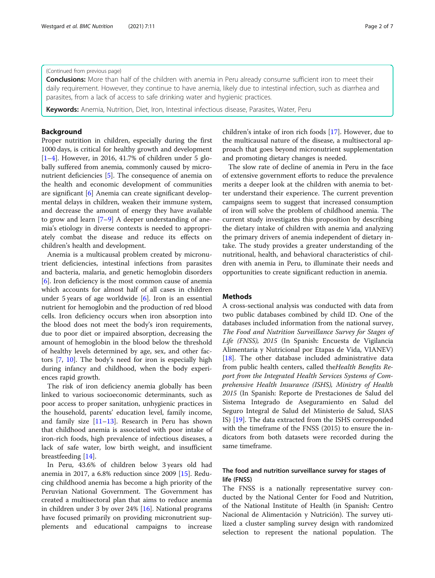#### (Continued from previous page)

Conclusions: More than half of the children with anemia in Peru already consume sufficient iron to meet their daily requirement. However, they continue to have anemia, likely due to intestinal infection, such as diarrhea and parasites, from a lack of access to safe drinking water and hygienic practices.

Keywords: Anemia, Nutrition, Diet, Iron, Intestinal infectious disease, Parasites, Water, Peru

## Background

Proper nutrition in children, especially during the first 1000 days, is critical for healthy growth and development [[1](#page-6-0)–[4\]](#page-6-0). However, in 2016, 41.7% of children under 5 globally suffered from anemia, commonly caused by micronutrient deficiencies [[5\]](#page-6-0). The consequence of anemia on the health and economic development of communities are significant [\[6](#page-6-0)] Anemia can create significant developmental delays in children, weaken their immune system, and decrease the amount of energy they have available to grow and learn  $[7-9]$  $[7-9]$  $[7-9]$  $[7-9]$  A deeper understanding of anemia's etiology in diverse contexts is needed to appropriately combat the disease and reduce its effects on children's health and development.

Anemia is a multicausal problem created by micronutrient deficiencies, intestinal infections from parasites and bacteria, malaria, and genetic hemoglobin disorders [[6\]](#page-6-0). Iron deficiency is the most common cause of anemia which accounts for almost half of all cases in children under 5 years of age worldwide [[6\]](#page-6-0). Iron is an essential nutrient for hemoglobin and the production of red blood cells. Iron deficiency occurs when iron absorption into the blood does not meet the body's iron requirements, due to poor diet or impaired absorption, decreasing the amount of hemoglobin in the blood below the threshold of healthy levels determined by age, sex, and other factors [[7,](#page-6-0) [10\]](#page-6-0). The body's need for iron is especially high during infancy and childhood, when the body experiences rapid growth.

The risk of iron deficiency anemia globally has been linked to various socioeconomic determinants, such as poor access to proper sanitation, unhygienic practices in the household, parents' education level, family income, and family size  $[11-13]$  $[11-13]$  $[11-13]$  $[11-13]$ . Research in Peru has shown that childhood anemia is associated with poor intake of iron-rich foods, high prevalence of infectious diseases, a lack of safe water, low birth weight, and insufficient breastfeeding [[14\]](#page-6-0).

In Peru, 43.6% of children below 3 years old had anemia in 2017, a 6.8% reduction since 2009 [[15](#page-6-0)]. Reducing childhood anemia has become a high priority of the Peruvian National Government. The Government has created a multisectoral plan that aims to reduce anemia in children under 3 by over 24% [\[16](#page-6-0)]. National programs have focused primarily on providing micronutrient supplements and educational campaigns to increase children's intake of iron rich foods [[17](#page-6-0)]. However, due to the multicausal nature of the disease, a multisectoral approach that goes beyond micronutrient supplementation and promoting dietary changes is needed.

The slow rate of decline of anemia in Peru in the face of extensive government efforts to reduce the prevalence merits a deeper look at the children with anemia to better understand their experience. The current prevention campaigns seem to suggest that increased consumption of iron will solve the problem of childhood anemia. The current study investigates this proposition by describing the dietary intake of children with anemia and analyzing the primary drivers of anemia independent of dietary intake. The study provides a greater understanding of the nutritional, health, and behavioral characteristics of children with anemia in Peru, to illuminate their needs and opportunities to create significant reduction in anemia.

## **Methods**

A cross-sectional analysis was conducted with data from two public databases combined by child ID. One of the databases included information from the national survey, The Food and Nutrition Surveillance Survey for Stages of Life (FNSS), 2015 (In Spanish: Encuesta de Vigilancia Alimentaria y Nutricional por Etapas de Vida, VIANEV) [[18\]](#page-6-0). The other database included administrative data from public health centers, called theHealth Benefits Report from the Integrated Health Services Systems of Comprehensive Health Insurance (ISHS), Ministry of Health 2015 (In Spanish: Reporte de Prestaciones de Salud del Sistema Integrado de Aseguramiento en Salud del Seguro Integral de Salud del Ministerio de Salud, SIAS IS) [\[19](#page-6-0)]. The data extracted from the ISHS corresponded with the timeframe of the FNSS (2015) to ensure the indicators from both datasets were recorded during the same timeframe.

## The food and nutrition surveillance survey for stages of life (FNSS)

The FNSS is a nationally representative survey conducted by the National Center for Food and Nutrition, of the National Institute of Health (in Spanish: Centro Nacional de Alimentación y Nutrición). The survey utilized a cluster sampling survey design with randomized selection to represent the national population. The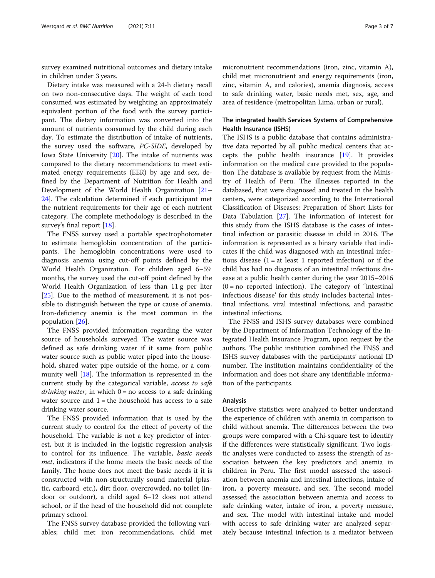survey examined nutritional outcomes and dietary intake in children under 3 years.

Dietary intake was measured with a 24-h dietary recall on two non-consecutive days. The weight of each food consumed was estimated by weighting an approximately equivalent portion of the food with the survey participant. The dietary information was converted into the amount of nutrients consumed by the child during each day. To estimate the distribution of intake of nutrients, the survey used the software, PC-SIDE, developed by Iowa State University [[20\]](#page-6-0). The intake of nutrients was compared to the dietary recommendations to meet estimated energy requirements (EER) by age and sex, defined by the Department of Nutrition for Health and Development of the World Health Organization [[21](#page-6-0)– [24\]](#page-6-0). The calculation determined if each participant met the nutrient requirements for their age of each nutrient category. The complete methodology is described in the survey's final report [[18](#page-6-0)].

The FNSS survey used a portable spectrophotometer to estimate hemoglobin concentration of the participants. The hemoglobin concentrations were used to diagnosis anemia using cut-off points defined by the World Health Organization. For children aged 6–59 months, the survey used the cut-off point defined by the World Health Organization of less than 11 g per liter [[25\]](#page-6-0). Due to the method of measurement, it is not possible to distinguish between the type or cause of anemia. Iron-deficiency anemia is the most common in the population [[26\]](#page-6-0).

The FNSS provided information regarding the water source of households surveyed. The water source was defined as safe drinking water if it same from public water source such as public water piped into the household, shared water pipe outside of the home, or a community well [[18\]](#page-6-0). The information is represented in the current study by the categorical variable, access to safe *drinking water*, in which  $0 = no$  access to a safe drinking water source and  $1$  = the household has access to a safe drinking water source.

The FNSS provided information that is used by the current study to control for the effect of poverty of the household. The variable is not a key predictor of interest, but it is included in the logistic regression analysis to control for its influence. The variable, basic needs met, indicators if the home meets the basic needs of the family. The home does not meet the basic needs if it is constructed with non-structurally sound material (plastic, carboard, etc.), dirt floor, overcrowded, no toilet (indoor or outdoor), a child aged 6–12 does not attend school, or if the head of the household did not complete primary school.

The FNSS survey database provided the following variables; child met iron recommendations, child met

micronutrient recommendations (iron, zinc, vitamin A), child met micronutrient and energy requirements (iron, zinc, vitamin A, and calories), anemia diagnosis, access to safe drinking water, basic needs met, sex, age, and area of residence (metropolitan Lima, urban or rural).

## The integrated health Services Systems of Comprehensive Health Insurance (ISHS)

The ISHS is a public database that contains administrative data reported by all public medical centers that accepts the public health insurance [[19\]](#page-6-0). It provides information on the medical care provided to the population The database is available by request from the Ministry of Health of Peru. The illnesses reported in the databased, that were diagnosed and treated in the health centers, were categorized according to the International Classification of Diseases: Preparation of Short Lists for Data Tabulation [\[27\]](#page-6-0). The information of interest for this study from the ISHS database is the cases of intestinal infection or parasitic disease in child in 2016. The information is represented as a binary variable that indicates if the child was diagnosed with an intestinal infectious disease  $(1 = at least 1 reported infection)$  or if the child has had no diagnosis of an intestinal infectious disease at a public health center during the year 2015–2016  $(0 = no$  reported infection). The category of "intestinal infectious disease' for this study includes bacterial intestinal infections, viral intestinal infections, and parasitic intestinal infections.

The FNSS and ISHS survey databases were combined by the Department of Information Technology of the Integrated Health Insurance Program, upon request by the authors. The public institution combined the FNSS and ISHS survey databases with the participants' national ID number. The institution maintains confidentiality of the information and does not share any identifiable information of the participants.

#### Analysis

Descriptive statistics were analyzed to better understand the experience of children with anemia in comparison to child without anemia. The differences between the two groups were compared with a Chi-square test to identify if the differences were statistically significant. Two logistic analyses were conducted to assess the strength of association between the key predictors and anemia in children in Peru. The first model assessed the association between anemia and intestinal infections, intake of iron, a poverty measure, and sex. The second model assessed the association between anemia and access to safe drinking water, intake of iron, a poverty measure, and sex. The model with intestinal intake and model with access to safe drinking water are analyzed separately because intestinal infection is a mediator between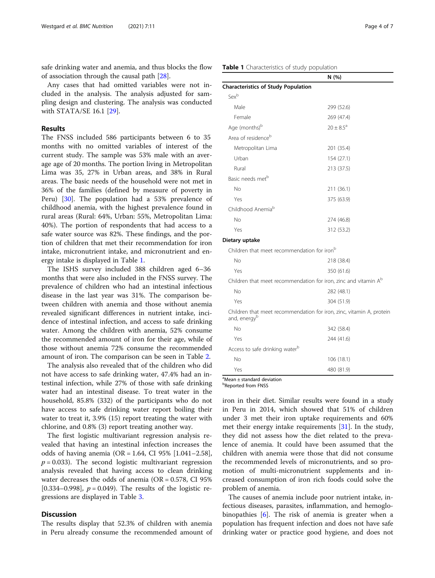safe drinking water and anemia, and thus blocks the flow of association through the causal path [[28](#page-6-0)].

Any cases that had omitted variables were not included in the analysis. The analysis adjusted for sampling design and clustering. The analysis was conducted with STATA/SE 16.1 [[29](#page-6-0)].

#### Results

The FNSS included 586 participants between 6 to 35 months with no omitted variables of interest of the current study. The sample was 53% male with an average age of 20 months. The portion living in Metropolitan Lima was 35, 27% in Urban areas, and 38% in Rural areas. The basic needs of the household were not met in 36% of the families (defined by measure of poverty in Peru) [[30\]](#page-6-0). The population had a 53% prevalence of childhood anemia, with the highest prevalence found in rural areas (Rural: 64%, Urban: 55%, Metropolitan Lima: 40%). The portion of respondents that had access to a safe water source was 82%. These findings, and the portion of children that met their recommendation for iron intake, micronutrient intake, and micronutrient and energy intake is displayed in Table 1.

The ISHS survey included 388 children aged 6–36 months that were also included in the FNSS survey. The prevalence of children who had an intestinal infectious disease in the last year was 31%. The comparison between children with anemia and those without anemia revealed significant differences in nutrient intake, incidence of intestinal infection, and access to safe drinking water. Among the children with anemia, 52% consume the recommended amount of iron for their age, while of those without anemia 72% consume the recommended amount of iron. The comparison can be seen in Table [2](#page-4-0).

The analysis also revealed that of the children who did not have access to safe drinking water, 47.4% had an intestinal infection, while 27% of those with safe drinking water had an intestinal disease. To treat water in the household, 85.8% (332) of the participants who do not have access to safe drinking water report boiling their water to treat it, 3.9% (15) report treating the water with chlorine, and 0.8% (3) report treating another way.

The first logistic multivariant regression analysis revealed that having an intestinal infection increases the odds of having anemia (OR = 1.64, CI 95% [1.041–2.58],  $p = 0.033$ ). The second logistic multivariant regression analysis revealed that having access to clean drinking water decreases the odds of anemia ( $OR = 0.578$ , CI 95%) [0.334–0.998],  $p = 0.049$ ). The results of the logistic regressions are displayed in Table [3.](#page-4-0)

## **Discussion**

The results display that 52.3% of children with anemia in Peru already consume the recommended amount of

## Table 1 Characteristics of study population

|                                                                                      | N(%)               |  |  |  |
|--------------------------------------------------------------------------------------|--------------------|--|--|--|
| <b>Characteristics of Study Population</b>                                           |                    |  |  |  |
| Sexb                                                                                 |                    |  |  |  |
| Male                                                                                 | 299 (52.6)         |  |  |  |
| Female                                                                               | 269 (47.4)         |  |  |  |
| Age (months) <sup>b</sup>                                                            | $20 + 8.5^{\circ}$ |  |  |  |
| Area of residence <sup>b</sup>                                                       |                    |  |  |  |
| Metropolitan Lima                                                                    | 201 (35.4)         |  |  |  |
| Urban                                                                                | 154 (27.1)         |  |  |  |
| Rural                                                                                | 213 (37.5)         |  |  |  |
| Basic needs met <sup>b</sup>                                                         |                    |  |  |  |
| No                                                                                   | 211 (36.1)         |  |  |  |
| Yes                                                                                  | 375 (63.9)         |  |  |  |
| Childhood Anemia <sup>b</sup>                                                        |                    |  |  |  |
| No                                                                                   | 274 (46.8)         |  |  |  |
| Yes                                                                                  | 312 (53.2)         |  |  |  |
| Dietary uptake                                                                       |                    |  |  |  |
| Children that meet recommendation for iron <sup>b</sup>                              |                    |  |  |  |
| No                                                                                   | 218 (38.4)         |  |  |  |
| Yes                                                                                  | 350 (61.6)         |  |  |  |
| Children that meet recommendation for iron, zinc and vitamin A <sup>b</sup>          |                    |  |  |  |
| No                                                                                   | 282 (48.1)         |  |  |  |
| Yes                                                                                  | 304 (51.9)         |  |  |  |
| Children that meet recommendation for iron, zinc, vitamin A, protein<br>and, energyb |                    |  |  |  |
| No                                                                                   | 342 (58.4)         |  |  |  |
| Yes                                                                                  | 244 (41.6)         |  |  |  |
| Access to safe drinking water <sup>b</sup>                                           |                    |  |  |  |
| No                                                                                   | 106 (18.1)         |  |  |  |
| Yes                                                                                  | 480 (81.9)         |  |  |  |

a Mean ± standard deviation

**b**Reported from FNSS

iron in their diet. Similar results were found in a study in Peru in 2014, which showed that 51% of children under 3 met their iron uptake requirements and 60% met their energy intake requirements [[31\]](#page-6-0). In the study, they did not assess how the diet related to the prevalence of anemia. It could have been assumed that the children with anemia were those that did not consume the recommended levels of micronutrients, and so promotion of multi-micronutrient supplements and increased consumption of iron rich foods could solve the problem of anemia.

The causes of anemia include poor nutrient intake, infectious diseases, parasites, inflammation, and hemoglobinopathies [[6\]](#page-6-0). The risk of anemia is greater when a population has frequent infection and does not have safe drinking water or practice good hygiene, and does not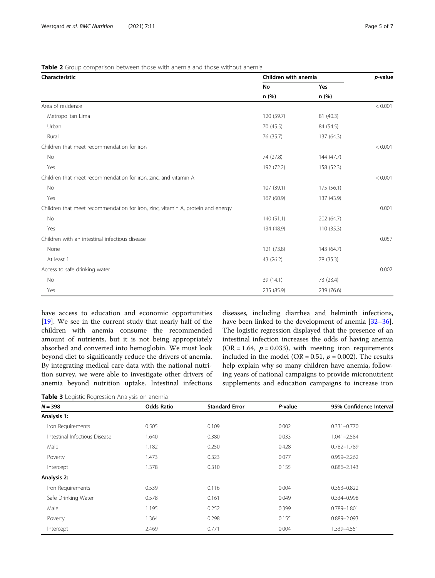## <span id="page-4-0"></span>Table 2 Group comparison between those with anemia and those without anemia

| Characteristic                                                                  | Children with anemia | p-value    |         |
|---------------------------------------------------------------------------------|----------------------|------------|---------|
|                                                                                 | No                   | Yes        |         |
|                                                                                 | n(%)                 | n(%)       |         |
| Area of residence                                                               |                      |            | < 0.001 |
| Metropolitan Lima                                                               | 120 (59.7)           | 81 (40.3)  |         |
| Urban                                                                           | 70 (45.5)            | 84 (54.5)  |         |
| Rural                                                                           | 76 (35.7)            | 137 (64.3) |         |
| Children that meet recommendation for iron                                      |                      |            | < 0.001 |
| No                                                                              | 74 (27.8)            | 144(47.7)  |         |
| Yes                                                                             | 192 (72.2)           | 158 (52.3) |         |
| Children that meet recommendation for iron, zinc, and vitamin A                 |                      |            | < 0.001 |
| No                                                                              | 107 (39.1)           | 175(56.1)  |         |
| Yes                                                                             | 167 (60.9)           | 137 (43.9) |         |
| Children that meet recommendation for iron, zinc, vitamin A, protein and energy |                      |            | 0.001   |
| No                                                                              | 140(51.1)            | 202 (64.7) |         |
| Yes                                                                             | 134 (48.9)           | 110(35.3)  |         |
| Children with an intestinal infectious disease                                  |                      |            | 0.057   |
| None                                                                            | 121 (73.8)           | 143 (64.7) |         |
| At least 1                                                                      | 43 (26.2)            | 78 (35.3)  |         |
| Access to safe drinking water                                                   |                      |            | 0.002   |
| No                                                                              | 39 (14.1)            | 73 (23.4)  |         |
| Yes                                                                             | 235 (85.9)           | 239 (76.6) |         |

have access to education and economic opportunities [[19\]](#page-6-0). We see in the current study that nearly half of the children with anemia consume the recommended amount of nutrients, but it is not being appropriately absorbed and converted into hemoglobin. We must look beyond diet to significantly reduce the drivers of anemia. By integrating medical care data with the national nutrition survey, we were able to investigate other drivers of anemia beyond nutrition uptake. Intestinal infectious

diseases, including diarrhea and helminth infections, have been linked to the development of anemia [[32](#page-6-0)–[36](#page-6-0)]. The logistic regression displayed that the presence of an intestinal infection increases the odds of having anemia  $(OR = 1.64, p = 0.033)$ , with meeting iron requirements included in the model (OR = 0.51,  $p = 0.002$ ). The results help explain why so many children have anemia, following years of national campaigns to provide micronutrient supplements and education campaigns to increase iron

|  |  | Table 3 Logistic Regression Analysis on anemia |  |  |  |
|--|--|------------------------------------------------|--|--|--|
|--|--|------------------------------------------------|--|--|--|

| $N = 398$                     | <b>Odds Ratio</b> | <b>Standard Error</b> | P-value | 95% Confidence Interval |
|-------------------------------|-------------------|-----------------------|---------|-------------------------|
| Analysis 1:                   |                   |                       |         |                         |
| Iron Requirements             | 0.505             | 0.109                 | 0.002   | $0.331 - 0.770$         |
| Intestinal Infectious Disease | .640              | 0.380                 | 0.033   | $1.041 - 2.584$         |
| Male                          | 1.182             | 0.250                 | 0.428   | 0.782-1.789             |
| Poverty                       | 1.473             | 0.323                 | 0.077   | $0.959 - 2.262$         |
| Intercept                     | 1.378             | 0.310                 | 0.155   | $0.886 - 2.143$         |
| Analysis 2:                   |                   |                       |         |                         |
| Iron Requirements             | 0.539             | 0.116                 | 0.004   | $0.353 - 0.822$         |
| Safe Drinking Water           | 0.578             | 0.161                 | 0.049   | 0.334-0.998             |
| Male                          | 1.195             | 0.252                 | 0.399   | 0.789-1.801             |
| Poverty                       | 1.364             | 0.298                 | 0.155   | 0.889-2.093             |
| Intercept                     | 2.469             | 0.771                 | 0.004   | 1.339-4.551             |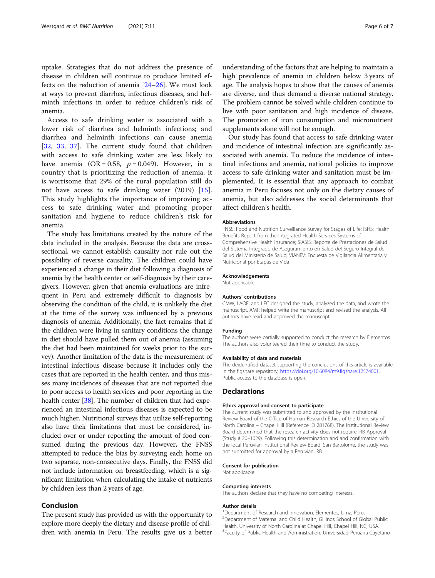uptake. Strategies that do not address the presence of disease in children will continue to produce limited effects on the reduction of anemia [[24](#page-6-0)–[26](#page-6-0)]. We must look at ways to prevent diarrhea, infectious diseases, and helminth infections in order to reduce children's risk of anemia.

Access to safe drinking water is associated with a lower risk of diarrhea and helminth infections; and diarrhea and helminth infections can cause anemia [[32,](#page-6-0) [33,](#page-6-0) [37\]](#page-6-0). The current study found that children with access to safe drinking water are less likely to have anemia  $(OR = 0.58, p = 0.049)$ . However, in a country that is prioritizing the reduction of anemia, it is worrisome that 29% of the rural population still do not have access to safe drinking water (2019) [\[15](#page-6-0)]. This study highlights the importance of improving access to safe drinking water and promoting proper sanitation and hygiene to reduce children's risk for anemia.

The study has limitations created by the nature of the data included in the analysis. Because the data are crosssectional, we cannot establish causality nor rule out the possibility of reverse causality. The children could have experienced a change in their diet following a diagnosis of anemia by the health center or self-diagnosis by their caregivers. However, given that anemia evaluations are infrequent in Peru and extremely difficult to diagnosis by observing the condition of the child, it is unlikely the diet at the time of the survey was influenced by a previous diagnosis of anemia. Additionally, the fact remains that if the children were living in sanitary conditions the change in diet should have pulled them out of anemia (assuming the diet had been maintained for weeks prior to the survey). Another limitation of the data is the measurement of intestinal infectious disease because it includes only the cases that are reported in the health center, and thus misses many incidences of diseases that are not reported due to poor access to health services and poor reporting in the health center [\[38\]](#page-6-0). The number of children that had experienced an intestinal infectious diseases is expected to be much higher. Nutritional surveys that utilize self-reporting also have their limitations that must be considered, included over or under reporting the amount of food consumed during the previous day. However, the FNSS attempted to reduce the bias by surveying each home on two separate, non-consecutive days. Finally, the FNSS did not include information on breastfeeding, which is a significant limitation when calculating the intake of nutrients by children less than 2 years of age.

### Conclusion

The present study has provided us with the opportunity to explore more deeply the dietary and disease profile of children with anemia in Peru. The results give us a better

understanding of the factors that are helping to maintain a high prevalence of anemia in children below 3 years of age. The analysis hopes to show that the causes of anemia are diverse, and thus demand a diverse national strategy. The problem cannot be solved while children continue to live with poor sanitation and high incidence of disease. The promotion of iron consumption and micronutrient supplements alone will not be enough.

Our study has found that access to safe drinking water and incidence of intestinal infection are significantly associated with anemia. To reduce the incidence of intestinal infections and anemia, national policies to improve access to safe drinking water and sanitation must be implemented. It is essential that any approach to combat anemia in Peru focuses not only on the dietary causes of anemia, but also addresses the social determinants that affect children's health.

#### **Abbreviations**

FNSS: Food and Nutrition Surveillance Survey for Stages of Life; ISHS: Health Benefits Report from the Integrated Health Services Systems of Comprehensive Health Insurance; SIASIS: Reporte de Prestaciones de Salud del Sistema Integrado de Aseguramiento en Salud del Seguro Integral de Salud del Ministerio de Salud; VIANEV: Encuesta de Vigilancia Alimentaria y Nutricional por Etapas de Vida

#### Acknowledgements

Not applicable.

#### Authors' contributions

CMW, LAOF, and LFC designed the study, analyzed the data, and wrote the manuscript. AMR helped write the manuscript and revised the analysis. All authors have read and approved the manuscript.

#### Funding

The authors were partially supported to conduct the research by Elementos. The authors also volunteered their time to conduct the study.

#### Availability of data and materials

The deidentified dataset supporting the conclusions of this article is available in the figshare repository, [https://doi.org/10.6084/m9.figshare.12574001.](https://doi.org/10.6084/m9.figshare.12574001) Public access to the database is open.

#### **Declarations**

#### Ethics approval and consent to participate

The current study was submitted to and approved by the Institutional Review Board of the Office of Human Research Ethics of the University of North Carolina – Chapel Hill (Reference ID 281768). The Institutional Review Board determined that the research activity does not require IRB Approval (Study # 20–1029). Following this determination and and confirmation with the local Peruvian Institutional Review Board, San Bartolome, the study was not submitted for approval by a Peruvian IRB.

#### Consent for publication

Not applicable.

#### Competing interests

The authors declare that they have no competing interests.

#### Author details

<sup>1</sup> Department of Research and Innovation, Elementos, Lima, Peru <sup>2</sup> Department of Maternal and Child Health, Gillings School of Global Public Health, University of North Carolina at Chapel Hill, Chapel Hill, NC, USA. <sup>3</sup> Faculty of Public Health and Administration, Universidad Peruana Cayetano